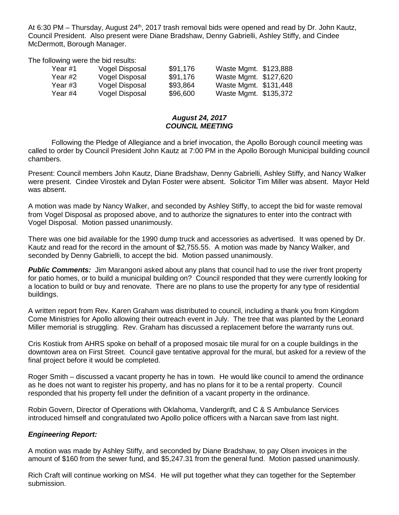At 6:30 PM - Thursday, August 24<sup>th</sup>, 2017 trash removal bids were opened and read by Dr. John Kautz, Council President. Also present were Diane Bradshaw, Denny Gabrielli, Ashley Stiffy, and Cindee McDermott, Borough Manager.

The following were the bid results:

| Year #1 | Vogel Disposal | \$91,176 | Waste Mgmt. \$123,888 |  |
|---------|----------------|----------|-----------------------|--|
| Year #2 | Vogel Disposal | \$91,176 | Waste Mgmt. \$127,620 |  |
| Year #3 | Vogel Disposal | \$93.864 | Waste Mgmt. \$131,448 |  |
| Year #4 | Vogel Disposal | \$96,600 | Waste Mgmt. \$135,372 |  |

## *August 24, 2017 COUNCIL MEETING*

Following the Pledge of Allegiance and a brief invocation, the Apollo Borough council meeting was called to order by Council President John Kautz at 7:00 PM in the Apollo Borough Municipal building council chambers.

Present: Council members John Kautz, Diane Bradshaw, Denny Gabrielli, Ashley Stiffy, and Nancy Walker were present. Cindee Virostek and Dylan Foster were absent. Solicitor Tim Miller was absent. Mayor Held was absent.

A motion was made by Nancy Walker, and seconded by Ashley Stiffy, to accept the bid for waste removal from Vogel Disposal as proposed above, and to authorize the signatures to enter into the contract with Vogel Disposal. Motion passed unanimously.

There was one bid available for the 1990 dump truck and accessories as advertised. It was opened by Dr. Kautz and read for the record in the amount of \$2,755.55. A motion was made by Nancy Walker, and seconded by Denny Gabrielli, to accept the bid. Motion passed unanimously.

**Public Comments:** Jim Marangoni asked about any plans that council had to use the river front property for patio homes, or to build a municipal building on? Council responded that they were currently looking for a location to build or buy and renovate. There are no plans to use the property for any type of residential buildings.

A written report from Rev. Karen Graham was distributed to council, including a thank you from Kingdom Come Ministries for Apollo allowing their outreach event in July. The tree that was planted by the Leonard Miller memorial is struggling. Rev. Graham has discussed a replacement before the warranty runs out.

Cris Kostiuk from AHRS spoke on behalf of a proposed mosaic tile mural for on a couple buildings in the downtown area on First Street. Council gave tentative approval for the mural, but asked for a review of the final project before it would be completed.

Roger Smith – discussed a vacant property he has in town. He would like council to amend the ordinance as he does not want to register his property, and has no plans for it to be a rental property. Council responded that his property fell under the definition of a vacant property in the ordinance.

Robin Govern, Director of Operations with Oklahoma, Vandergrift, and C & S Ambulance Services introduced himself and congratulated two Apollo police officers with a Narcan save from last night.

## *Engineering Report:*

A motion was made by Ashley Stiffy, and seconded by Diane Bradshaw, to pay Olsen invoices in the amount of \$160 from the sewer fund, and \$5,247.31 from the general fund. Motion passed unanimously.

Rich Craft will continue working on MS4. He will put together what they can together for the September submission.